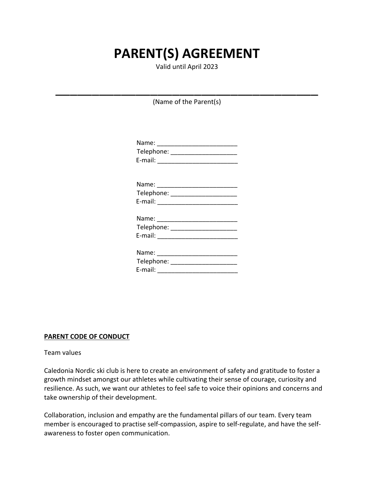# **PARENT(S) AGREEMENT**

Valid until April 2023

(Name of the Parent(s)

\_\_\_\_\_\_\_\_\_\_\_\_\_\_\_\_\_\_\_\_\_\_\_\_\_\_\_\_\_\_\_\_\_\_\_\_

| Telephone: ________________________ |
|-------------------------------------|
|                                     |
|                                     |
|                                     |

#### **PARENT CODE OF CONDUCT**

Team values

Caledonia Nordic ski club is here to create an environment of safety and gratitude to foster a growth mindset amongst our athletes while cultivating their sense of courage, curiosity and resilience. As such, we want our athletes to feel safe to voice their opinions and concerns and take ownership of their development.

Collaboration, inclusion and empathy are the fundamental pillars of our team. Every team member is encouraged to practise self-compassion, aspire to self-regulate, and have the selfawareness to foster open communication.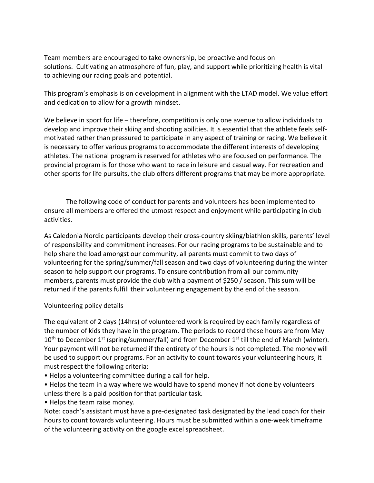Team members are encouraged to take ownership, be proactive and focus on solutions. Cultivating an atmosphere of fun, play, and support while prioritizing health is vital to achieving our racing goals and potential.

This program's emphasis is on development in alignment with the LTAD model. We value effort and dedication to allow for a growth mindset.

We believe in sport for life – therefore, competition is only one avenue to allow individuals to develop and improve their skiing and shooting abilities. It is essential that the athlete feels selfmotivated rather than pressured to participate in any aspect of training or racing. We believe it is necessary to offer various programs to accommodate the different interests of developing athletes. The national program is reserved for athletes who are focused on performance. The provincial program is for those who want to race in leisure and casual way. For recreation and other sports for life pursuits, the club offers different programs that may be more appropriate.

The following code of conduct for parents and volunteers has been implemented to ensure all members are offered the utmost respect and enjoyment while participating in club activities.

As Caledonia Nordic participants develop their cross-country skiing/biathlon skills, parents' level of responsibility and commitment increases. For our racing programs to be sustainable and to help share the load amongst our community, all parents must commit to two days of volunteering for the spring/summer/fall season and two days of volunteering during the winter season to help support our programs. To ensure contribution from all our community members, parents must provide the club with a payment of \$250 / season. This sum will be returned if the parents fulfill their volunteering engagement by the end of the season.

## Volunteering policy details

The equivalent of 2 days (14hrs) of volunteered work is required by each family regardless of the number of kids they have in the program. The periods to record these hours are from May  $10^{\text{th}}$  to December 1<sup>st</sup> (spring/summer/fall) and from December 1<sup>st</sup> till the end of March (winter). Your payment will not be returned if the entirety of the hours is not completed. The money will be used to support our programs. For an activity to count towards your volunteering hours, it must respect the following criteria:

- Helps a volunteering committee during a call for help.
- Helps the team in a way where we would have to spend money if not done by volunteers unless there is a paid position for that particular task.

• Helps the team raise money.

Note: coach's assistant must have a pre-designated task designated by the lead coach for their hours to count towards volunteering. Hours must be submitted within a one-week timeframe of the volunteering activity on the google excel spreadsheet.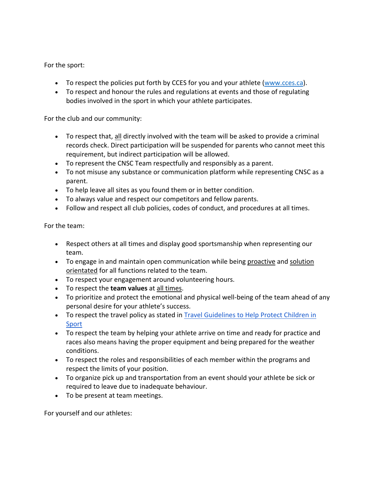For the sport:

- To respect the policies put forth by CCES for you and your athlete (www.cces.ca).
- To respect and honour the rules and regulations at events and those of regulating bodies involved in the sport in which your athlete participates.

For the club and our community:

- To respect that, all directly involved with the team will be asked to provide a criminal records check. Direct participation will be suspended for parents who cannot meet this requirement, but indirect participation will be allowed.
- To represent the CNSC Team respectfully and responsibly as a parent.
- To not misuse any substance or communication platform while representing CNSC as a parent.
- To help leave all sites as you found them or in better condition.
- To always value and respect our competitors and fellow parents.
- Follow and respect all club policies, codes of conduct, and procedures at all times.

For the team:

- Respect others at all times and display good sportsmanship when representing our team.
- To engage in and maintain open communication while being proactive and solution orientated for all functions related to the team.
- To respect your engagement around volunteering hours.
- To respect the **team values** at all times.
- To prioritize and protect the emotional and physical well-being of the team ahead of any personal desire for your athlete's success.
- To respect the travel policy as stated in Travel Guidelines to Help Protect Children in Sport
- To respect the team by helping your athlete arrive on time and ready for practice and races also means having the proper equipment and being prepared for the weather conditions.
- To respect the roles and responsibilities of each member within the programs and respect the limits of your position.
- To organize pick up and transportation from an event should your athlete be sick or required to leave due to inadequate behaviour.
- To be present at team meetings.

For yourself and our athletes: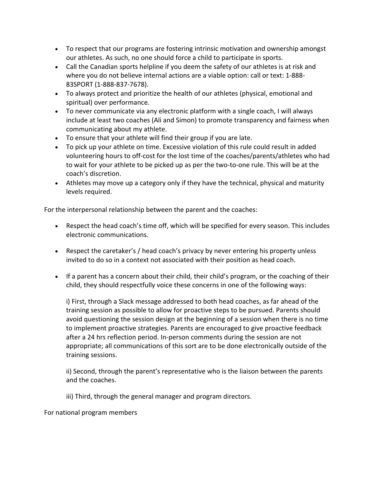- To respect that our programs are fostering intrinsic motivation and ownership amongst our athletes. As such, no one should force a child to participate in sports.
- Call the Canadian sports helpline if you deem the safety of our athletes is at risk and where you do not believe internal actions are a viable option: call or text: 1-888- 83SPORT (1-888-837-7678).
- To always protect and prioritize the health of our athletes (physical, emotional and spiritual) over performance.
- To never communicate via any electronic platform with a single coach, I will always include at least two coaches (Ali and Simon) to promote transparency and fairness when communicating about my athlete.
- To ensure that your athlete will find their group if you are late.
- To pick up your athlete on time. Excessive violation of this rule could result in added volunteering hours to off-cost for the lost time of the coaches/parents/athletes who had to wait for your athlete to be picked up as per the two-to-one rule. This will be at the coach's discretion.
- Athletes may move up a category only if they have the technical, physical and maturity levels required.

For the interpersonal relationship between the parent and the coaches:

- Respect the head coach's time off, which will be specified for every season. This includes electronic communications.
- Respect the caretaker's / head coach's privacy by never entering his property unless invited to do so in a context not associated with their position as head coach.
- If a parent has a concern about their child, their child's program, or the coaching of their child, they should respectfully voice these concerns in one of the following ways:

i) First, through a Slack message addressed to both head coaches, as far ahead of the training session as possible to allow for proactive steps to be pursued. Parents should avoid questioning the session design at the beginning of a session when there is no time to implement proactive strategies. Parents are encouraged to give proactive feedback after a 24 hrs reflection period. In-person comments during the session are not appropriate; all communications of this sort are to be done electronically outside of the training sessions.

ii) Second, through the parent's representative who is the liaison between the parents and the coaches.

iii) Third, through the general manager and program directors.

For national program members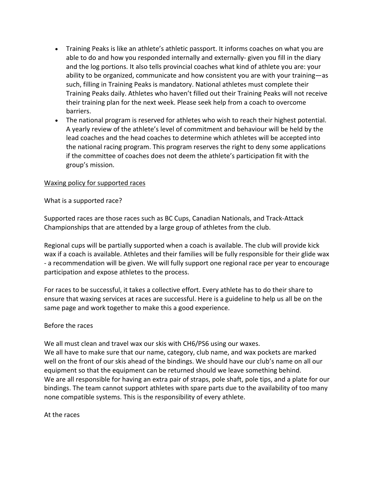- Training Peaks is like an athlete's athletic passport. It informs coaches on what you are able to do and how you responded internally and externally- given you fill in the diary and the log portions. It also tells provincial coaches what kind of athlete you are: your ability to be organized, communicate and how consistent you are with your training—as such, filling in Training Peaks is mandatory. National athletes must complete their Training Peaks daily. Athletes who haven't filled out their Training Peaks will not receive their training plan for the next week. Please seek help from a coach to overcome barriers.
- The national program is reserved for athletes who wish to reach their highest potential. A yearly review of the athlete's level of commitment and behaviour will be held by the lead coaches and the head coaches to determine which athletes will be accepted into the national racing program. This program reserves the right to deny some applications if the committee of coaches does not deem the athlete's participation fit with the group's mission.

## Waxing policy for supported races

What is a supported race?

Supported races are those races such as BC Cups, Canadian Nationals, and Track-Attack Championships that are attended by a large group of athletes from the club.

Regional cups will be partially supported when a coach is available. The club will provide kick wax if a coach is available. Athletes and their families will be fully responsible for their glide wax - a recommendation will be given. We will fully support one regional race per year to encourage participation and expose athletes to the process.

For races to be successful, it takes a collective effort. Every athlete has to do their share to ensure that waxing services at races are successful. Here is a guideline to help us all be on the same page and work together to make this a good experience.

## Before the races

We all must clean and travel wax our skis with CH6/PS6 using our waxes.

We all have to make sure that our name, category, club name, and wax pockets are marked well on the front of our skis ahead of the bindings. We should have our club's name on all our equipment so that the equipment can be returned should we leave something behind. We are all responsible for having an extra pair of straps, pole shaft, pole tips, and a plate for our bindings. The team cannot support athletes with spare parts due to the availability of too many none compatible systems. This is the responsibility of every athlete.

At the races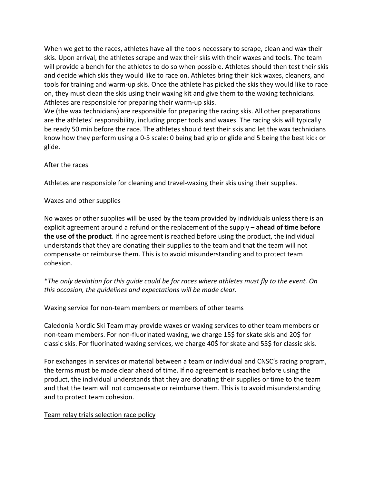When we get to the races, athletes have all the tools necessary to scrape, clean and wax their skis. Upon arrival, the athletes scrape and wax their skis with their waxes and tools. The team will provide a bench for the athletes to do so when possible. Athletes should then test their skis and decide which skis they would like to race on. Athletes bring their kick waxes, cleaners, and tools for training and warm-up skis. Once the athlete has picked the skis they would like to race on, they must clean the skis using their waxing kit and give them to the waxing technicians. Athletes are responsible for preparing their warm-up skis.

We (the wax technicians) are responsible for preparing the racing skis. All other preparations are the athletes' responsibility, including proper tools and waxes. The racing skis will typically be ready 50 min before the race. The athletes should test their skis and let the wax technicians know how they perform using a 0-5 scale: 0 being bad grip or glide and 5 being the best kick or glide.

## After the races

Athletes are responsible for cleaning and travel-waxing their skis using their supplies.

#### Waxes and other supplies

No waxes or other supplies will be used by the team provided by individuals unless there is an explicit agreement around a refund or the replacement of the supply – **ahead of time before the use of the product**. If no agreement is reached before using the product, the individual understands that they are donating their supplies to the team and that the team will not compensate or reimburse them. This is to avoid misunderstanding and to protect team cohesion.

## \**The only deviation for this guide could be for races where athletes must fly to the event. On this occasion, the guidelines and expectations will be made clear.*

Waxing service for non-team members or members of other teams

Caledonia Nordic Ski Team may provide waxes or waxing services to other team members or non-team members. For non-fluorinated waxing, we charge 15\$ for skate skis and 20\$ for classic skis. For fluorinated waxing services, we charge 40\$ for skate and 55\$ for classic skis.

For exchanges in services or material between a team or individual and CNSC's racing program, the terms must be made clear ahead of time. If no agreement is reached before using the product, the individual understands that they are donating their supplies or time to the team and that the team will not compensate or reimburse them. This is to avoid misunderstanding and to protect team cohesion.

## Team relay trials selection race policy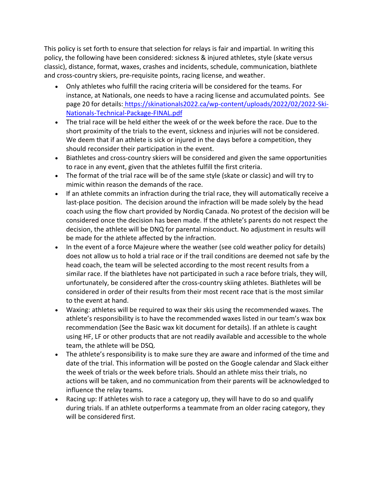This policy is set forth to ensure that selection for relays is fair and impartial. In writing this policy, the following have been considered: sickness & injured athletes, style (skate versus classic), distance, format, waxes, crashes and incidents, schedule, communication, biathlete and cross-country skiers, pre-requisite points, racing license, and weather.

- Only athletes who fulfill the racing criteria will be considered for the teams. For instance, at Nationals, one needs to have a racing license and accumulated points. See page 20 for details: https://skinationals2022.ca/wp-content/uploads/2022/02/2022-Ski-Nationals-Technical-Package-FINAL.pdf
- The trial race will be held either the week of or the week before the race. Due to the short proximity of the trials to the event, sickness and injuries will not be considered. We deem that if an athlete is sick or injured in the days before a competition, they should reconsider their participation in the event.
- Biathletes and cross-country skiers will be considered and given the same opportunities to race in any event, given that the athletes fulfill the first criteria.
- The format of the trial race will be of the same style (skate or classic) and will try to mimic within reason the demands of the race.
- If an athlete commits an infraction during the trial race, they will automatically receive a last-place position. The decision around the infraction will be made solely by the head coach using the flow chart provided by Nordiq Canada. No protest of the decision will be considered once the decision has been made. If the athlete's parents do not respect the decision, the athlete will be DNQ for parental misconduct. No adjustment in results will be made for the athlete affected by the infraction.
- In the event of a force Majeure where the weather (see cold weather policy for details) does not allow us to hold a trial race or if the trail conditions are deemed not safe by the head coach, the team will be selected according to the most recent results from a similar race. If the biathletes have not participated in such a race before trials, they will, unfortunately, be considered after the cross-country skiing athletes. Biathletes will be considered in order of their results from their most recent race that is the most similar to the event at hand.
- Waxing: athletes will be required to wax their skis using the recommended waxes. The athlete's responsibility is to have the recommended waxes listed in our team's wax box recommendation (See the Basic wax kit document for details). If an athlete is caught using HF, LF or other products that are not readily available and accessible to the whole team, the athlete will be DSQ.
- The athlete's responsibility is to make sure they are aware and informed of the time and date of the trial. This information will be posted on the Google calendar and Slack either the week of trials or the week before trials. Should an athlete miss their trials, no actions will be taken, and no communication from their parents will be acknowledged to influence the relay teams.
- Racing up: If athletes wish to race a category up, they will have to do so and qualify during trials. If an athlete outperforms a teammate from an older racing category, they will be considered first.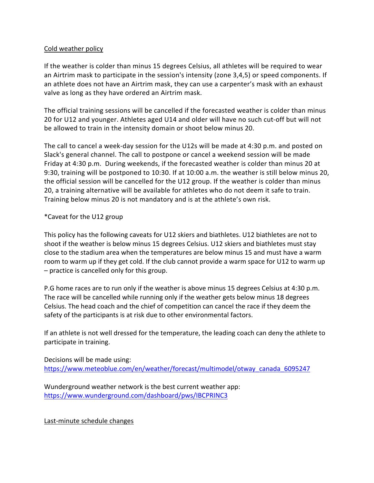## Cold weather policy

If the weather is colder than minus 15 degrees Celsius, all athletes will be required to wear an Airtrim mask to participate in the session's intensity (zone 3,4,5) or speed components. If an athlete does not have an Airtrim mask, they can use a carpenter's mask with an exhaust valve as long as they have ordered an Airtrim mask.

The official training sessions will be cancelled if the forecasted weather is colder than minus 20 for U12 and younger. Athletes aged U14 and older will have no such cut-off but will not be allowed to train in the intensity domain or shoot below minus 20.

The call to cancel a week-day session for the U12s will be made at 4:30 p.m. and posted on Slack's general channel. The call to postpone or cancel a weekend session will be made Friday at 4:30 p.m. During weekends, if the forecasted weather is colder than minus 20 at 9:30, training will be postponed to 10:30. If at 10:00 a.m. the weather is still below minus 20, the official session will be cancelled for the U12 group. If the weather is colder than minus 20, a training alternative will be available for athletes who do not deem it safe to train. Training below minus 20 is not mandatory and is at the athlete's own risk.

## \*Caveat for the U12 group

This policy has the following caveats for U12 skiers and biathletes. U12 biathletes are not to shoot if the weather is below minus 15 degrees Celsius. U12 skiers and biathletes must stay close to the stadium area when the temperatures are below minus 15 and must have a warm room to warm up if they get cold. If the club cannot provide a warm space for U12 to warm up – practice is cancelled only for this group.

P.G home races are to run only if the weather is above minus 15 degrees Celsius at 4:30 p.m. The race will be cancelled while running only if the weather gets below minus 18 degrees Celsius. The head coach and the chief of competition can cancel the race if they deem the safety of the participants is at risk due to other environmental factors.

If an athlete is not well dressed for the temperature, the leading coach can deny the athlete to participate in training.

Decisions will be made using: https://www.meteoblue.com/en/weather/forecast/multimodel/otway\_canada\_6095247

Wunderground weather network is the best current weather app: https://www.wunderground.com/dashboard/pws/IBCPRINC3

Last-minute schedule changes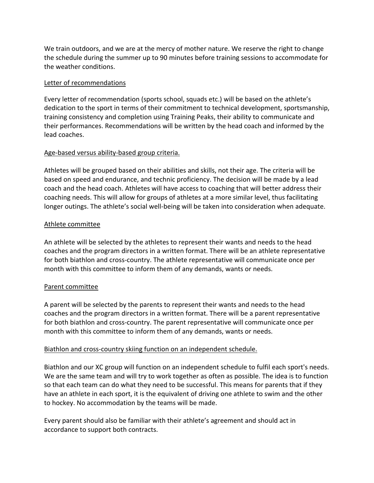We train outdoors, and we are at the mercy of mother nature. We reserve the right to change the schedule during the summer up to 90 minutes before training sessions to accommodate for the weather conditions.

## Letter of recommendations

Every letter of recommendation (sports school, squads etc.) will be based on the athlete's dedication to the sport in terms of their commitment to technical development, sportsmanship, training consistency and completion using Training Peaks, their ability to communicate and their performances. Recommendations will be written by the head coach and informed by the lead coaches.

# Age-based versus ability-based group criteria.

Athletes will be grouped based on their abilities and skills, not their age. The criteria will be based on speed and endurance, and technic proficiency. The decision will be made by a lead coach and the head coach. Athletes will have access to coaching that will better address their coaching needs. This will allow for groups of athletes at a more similar level, thus facilitating longer outings. The athlete's social well-being will be taken into consideration when adequate.

## Athlete committee

An athlete will be selected by the athletes to represent their wants and needs to the head coaches and the program directors in a written format. There will be an athlete representative for both biathlon and cross-country. The athlete representative will communicate once per month with this committee to inform them of any demands, wants or needs.

## Parent committee

A parent will be selected by the parents to represent their wants and needs to the head coaches and the program directors in a written format. There will be a parent representative for both biathlon and cross-country. The parent representative will communicate once per month with this committee to inform them of any demands, wants or needs.

## Biathlon and cross-country skiing function on an independent schedule.

Biathlon and our XC group will function on an independent schedule to fulfil each sport's needs. We are the same team and will try to work together as often as possible. The idea is to function so that each team can do what they need to be successful. This means for parents that if they have an athlete in each sport, it is the equivalent of driving one athlete to swim and the other to hockey. No accommodation by the teams will be made.

Every parent should also be familiar with their athlete's agreement and should act in accordance to support both contracts.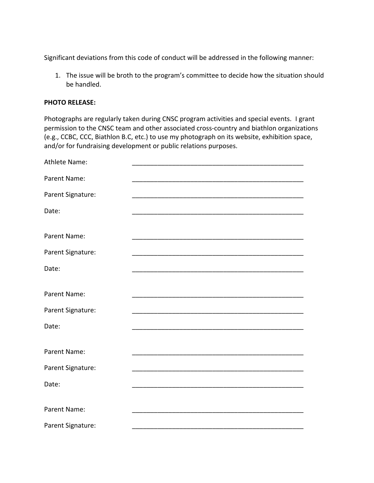Significant deviations from this code of conduct will be addressed in the following manner:

1. The issue will be broth to the program's committee to decide how the situation should be handled.

#### **PHOTO RELEASE:**

Photographs are regularly taken during CNSC program activities and special events. I grant permission to the CNSC team and other associated cross-country and biathlon organizations (e.g., CCBC, CCC, Biathlon B.C, etc.) to use my photograph on its website, exhibition space, and/or for fundraising development or public relations purposes.

| <b>Athlete Name:</b> |  |
|----------------------|--|
| Parent Name:         |  |
| Parent Signature:    |  |
| Date:                |  |
|                      |  |
| Parent Name:         |  |
| Parent Signature:    |  |
| Date:                |  |
|                      |  |
| Parent Name:         |  |
| Parent Signature:    |  |
| Date:                |  |
|                      |  |
| Parent Name:         |  |
| Parent Signature:    |  |
| Date:                |  |
| Parent Name:         |  |
|                      |  |
| Parent Signature:    |  |